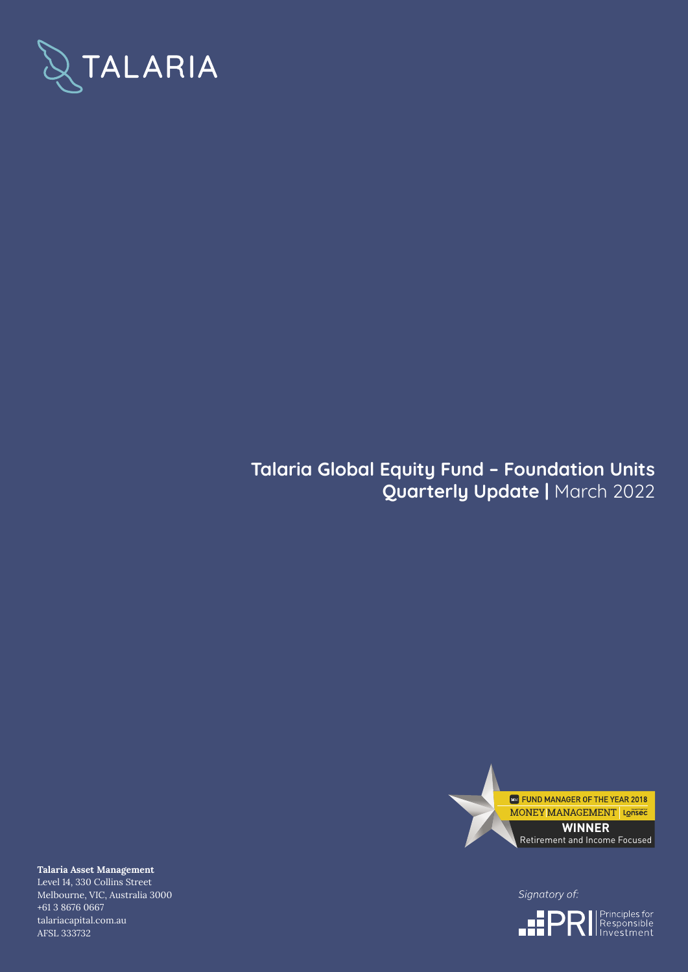

## **Talaria Global Equity Fund – Foundation Units Quarterly Update |** March 2022



Signatory of:



**Talaria Asset Management** Level 14, 330 Collins Street Melbourne, VIC, Australia 3000 +61 3 8676 0667 talariacapital.com.au AFSL 333732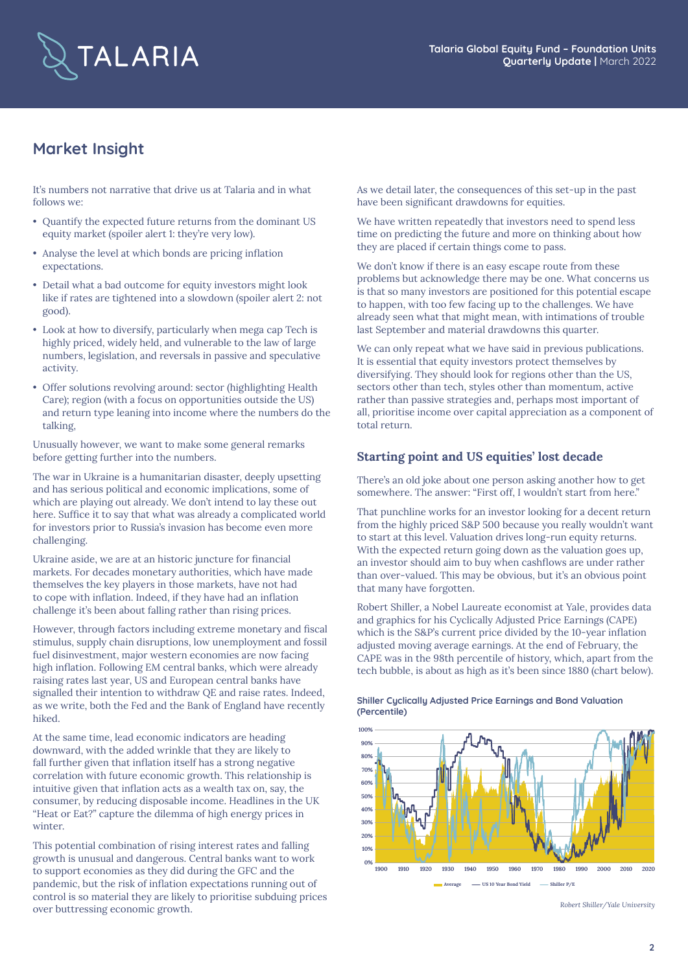

## **Market Insight**

It's numbers not narrative that drive us at Talaria and in what follows we:

- Quantify the expected future returns from the dominant US equity market (spoiler alert 1: they're very low).
- Analyse the level at which bonds are pricing inflation expectations.
- Detail what a bad outcome for equity investors might look like if rates are tightened into a slowdown (spoiler alert 2: not good).
- Look at how to diversify, particularly when mega cap Tech is highly priced, widely held, and vulnerable to the law of large numbers, legislation, and reversals in passive and speculative activity.
- Offer solutions revolving around: sector (highlighting Health Care); region (with a focus on opportunities outside the US) and return type leaning into income where the numbers do the talking,

Unusually however, we want to make some general remarks before getting further into the numbers.

The war in Ukraine is a humanitarian disaster, deeply upsetting and has serious political and economic implications, some of which are playing out already. We don't intend to lay these out here. Suffice it to say that what was already a complicated world for investors prior to Russia's invasion has become even more challenging.

Ukraine aside, we are at an historic juncture for financial markets. For decades monetary authorities, which have made themselves the key players in those markets, have not had to cope with inflation. Indeed, if they have had an inflation challenge it's been about falling rather than rising prices.

However, through factors including extreme monetary and fiscal stimulus, supply chain disruptions, low unemployment and fossil fuel disinvestment, major western economies are now facing high inflation. Following EM central banks, which were already raising rates last year, US and European central banks have signalled their intention to withdraw QE and raise rates. Indeed, as we write, both the Fed and the Bank of England have recently hiked.

At the same time, lead economic indicators are heading downward, with the added wrinkle that they are likely to fall further given that inflation itself has a strong negative correlation with future economic growth. This relationship is intuitive given that inflation acts as a wealth tax on, say, the consumer, by reducing disposable income. Headlines in the UK "Heat or Eat?" capture the dilemma of high energy prices in winter.

This potential combination of rising interest rates and falling growth is unusual and dangerous. Central banks want to work to support economies as they did during the GFC and the pandemic, but the risk of inflation expectations running out of control is so material they are likely to prioritise subduing prices over buttressing economic growth.

As we detail later, the consequences of this set-up in the past have been significant drawdowns for equities.

We have written repeatedly that investors need to spend less time on predicting the future and more on thinking about how they are placed if certain things come to pass.

We don't know if there is an easy escape route from these problems but acknowledge there may be one. What concerns us is that so many investors are positioned for this potential escape to happen, with too few facing up to the challenges. We have already seen what that might mean, with intimations of trouble last September and material drawdowns this quarter.

We can only repeat what we have said in previous publications. It is essential that equity investors protect themselves by diversifying. They should look for regions other than the US, sectors other than tech, styles other than momentum, active rather than passive strategies and, perhaps most important of all, prioritise income over capital appreciation as a component of total return.

### **Starting point and US equities' lost decade**

There's an old joke about one person asking another how to get somewhere. The answer: "First off, I wouldn't start from here."

That punchline works for an investor looking for a decent return from the highly priced S&P 500 because you really wouldn't want to start at this level. Valuation drives long-run equity returns. With the expected return going down as the valuation goes up, an investor should aim to buy when cashflows are under rather than over-valued. This may be obvious, but it's an obvious point that many have forgotten.

Robert Shiller, a Nobel Laureate economist at Yale, provides data and graphics for his Cyclically Adjusted Price Earnings (CAPE) which is the S&P's current price divided by the 10-year inflation adjusted moving average earnings. At the end of February, the CAPE was in the 98th percentile of history, which, apart from the tech bubble, is about as high as it's been since 1880 (chart below).



**Shiller Cyclically Adjusted Price Earnings and Bond Valuation (Percentile)**

*Robert Shiller/Yale University*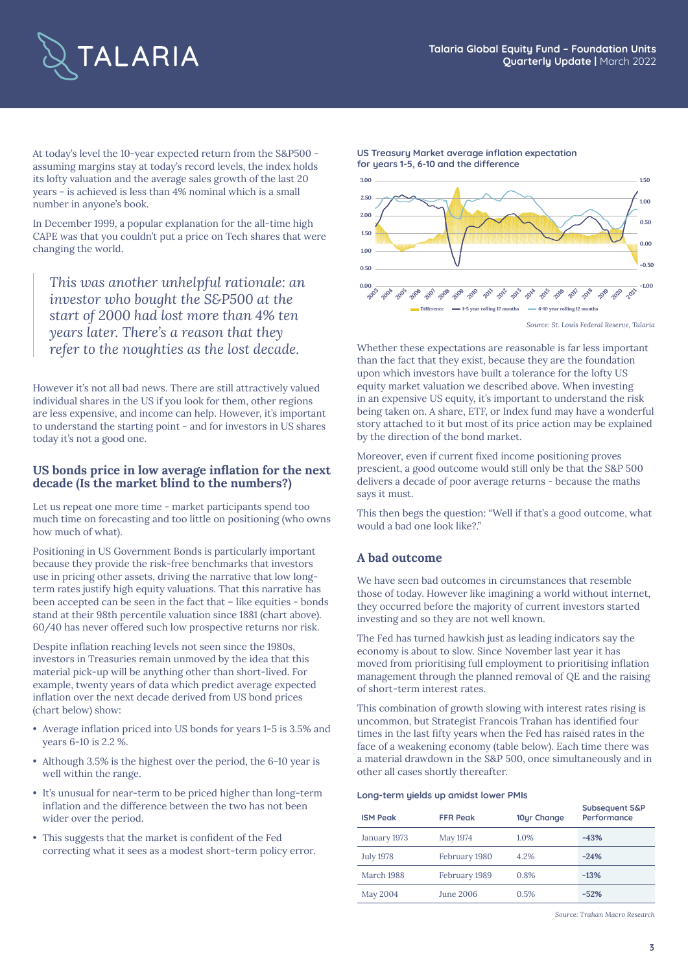

At today's level the 10-year expected return from the S&P500 assuming margins stay at today's record levels, the index holds its lofty valuation and the average sales growth of the last 20 years - is achieved is less than 4% nominal which is a small number in anyone's book.

In December 1999, a popular explanation for the all-time high CAPE was that you couldn't put a price on Tech shares that were changing the world.

*This was another unhelpful rationale: an investor who bought the S&P500 at the start of 2000 had lost more than 4% ten years later. There's a reason that they refer to the noughties as the lost decade.* Whether these expectations are reasonable is far less important

However it's not all bad news. There are still attractively valued individual shares in the US if you look for them, other regions are less expensive, and income can help. However, it's important to understand the starting point - and for investors in US shares today it's not a good one.

#### **US bonds price in low average inflation for the next decade (Is the market blind to the numbers?)**

Let us repeat one more time - market participants spend too much time on forecasting and too little on positioning (who owns how much of what).

Positioning in US Government Bonds is particularly important because they provide the risk-free benchmarks that investors use in pricing other assets, driving the narrative that low longterm rates justify high equity valuations. That this narrative has been accepted can be seen in the fact that – like equities - bonds stand at their 98th percentile valuation since 1881 (chart above). 60/40 has never offered such low prospective returns nor risk.

Despite inflation reaching levels not seen since the 1980s, investors in Treasuries remain unmoved by the idea that this material pick-up will be anything other than short-lived. For example, twenty years of data which predict average expected inflation over the next decade derived from US bond prices (chart below) show:

- Average inflation priced into US bonds for years 1-5 is 3.5% and years 6-10 is 2.2 %.
- Although 3.5% is the highest over the period, the 6-10 year is well within the range.
- It's unusual for near-term to be priced higher than long-term inflation and the difference between the two has not been wider over the period.
- This suggests that the market is confident of the Fed correcting what it sees as a modest short-term policy error.



**US Treasury Market average inflation expectation for years 1-5, 6-10 and the difference**

*Source: St. Louis Federal Reserve, Talaria*

than the fact that they exist, because they are the foundation upon which investors have built a tolerance for the lofty US equity market valuation we described above. When investing in an expensive US equity, it's important to understand the risk being taken on. A share, ETF, or Index fund may have a wonderful story attached to it but most of its price action may be explained by the direction of the bond market.

Moreover, even if current fixed income positioning proves prescient, a good outcome would still only be that the S&P 500 delivers a decade of poor average returns - because the maths says it must.

This then begs the question: "Well if that's a good outcome, what would a bad one look like?."

#### **A bad outcome**

We have seen bad outcomes in circumstances that resemble those of today. However like imagining a world without internet, they occurred before the majority of current investors started investing and so they are not well known.

The Fed has turned hawkish just as leading indicators say the economy is about to slow. Since November last year it has moved from prioritising full employment to prioritising inflation management through the planned removal of QE and the raising of short-term interest rates.

This combination of growth slowing with interest rates rising is uncommon, but Strategist Francois Trahan has identified four times in the last fifty years when the Fed has raised rates in the face of a weakening economy (table below). Each time there was a material drawdown in the S&P 500, once simultaneously and in other all cases shortly thereafter.

#### **Long-term yields up amidst lower PMIs**

| <b>ISM Peak</b>  | <b>FFR Peak</b> | 10ur Change | Subsequent S&P<br>Performance |
|------------------|-----------------|-------------|-------------------------------|
| January 1973     | May 1974        | 1.0%        | $-43%$                        |
| <b>July 1978</b> | February 1980   | 4.2%        | $-24%$                        |
| March 1988       | February 1989   | 0.8%        | $-13%$                        |
| May 2004         | June 2006       | 0.5%        | $-52%$                        |

*Source: Trahan Macro Research*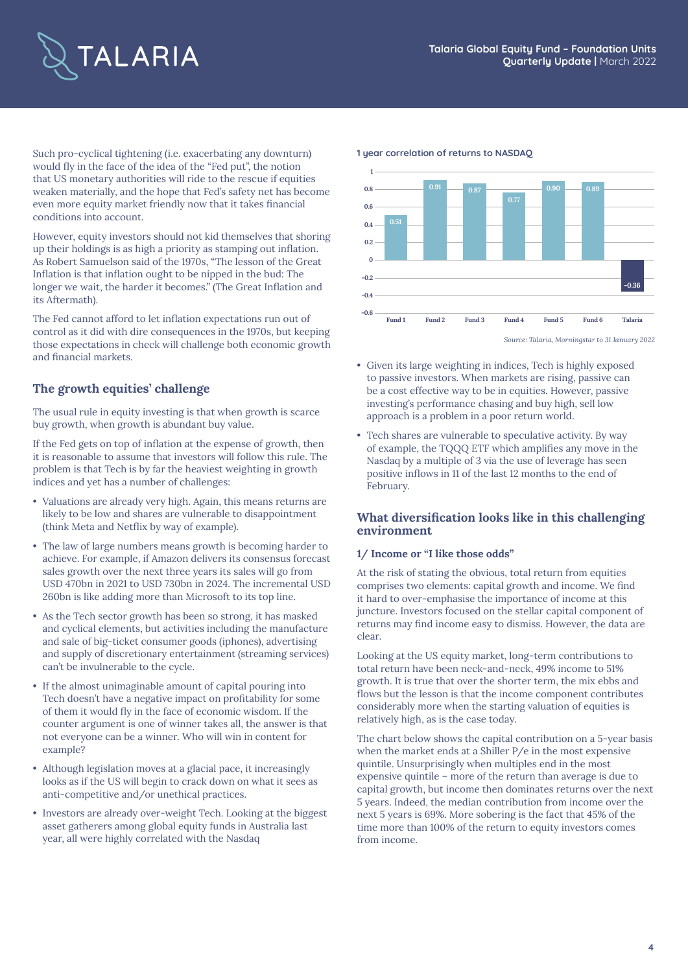

Such pro-cyclical tightening (i.e. exacerbating any downturn) would fly in the face of the idea of the "Fed put", the notion that US monetary authorities will ride to the rescue if equities weaken materially, and the hope that Fed's safety net has become even more equity market friendly now that it takes financial conditions into account.

However, equity investors should not kid themselves that shoring up their holdings is as high a priority as stamping out inflation. As Robert Samuelson said of the 1970s, "The lesson of the Great Inflation is that inflation ought to be nipped in the bud: The longer we wait, the harder it becomes." (The Great Inflation and its Aftermath).

The Fed cannot afford to let inflation expectations run out of control as it did with dire consequences in the 1970s, but keeping those expectations in check will challenge both economic growth and financial markets.

#### **The growth equities' challenge**

The usual rule in equity investing is that when growth is scarce buy growth, when growth is abundant buy value.

If the Fed gets on top of inflation at the expense of growth, then it is reasonable to assume that investors will follow this rule. The problem is that Tech is by far the heaviest weighting in growth indices and yet has a number of challenges:

- Valuations are already very high. Again, this means returns are likely to be low and shares are vulnerable to disappointment (think Meta and Netflix by way of example).
- The law of large numbers means growth is becoming harder to achieve. For example, if Amazon delivers its consensus forecast sales growth over the next three years its sales will go from USD 470bn in 2021 to USD 730bn in 2024. The incremental USD 260bn is like adding more than Microsoft to its top line.
- As the Tech sector growth has been so strong, it has masked and cyclical elements, but activities including the manufacture and sale of big-ticket consumer goods (iphones), advertising and supply of discretionary entertainment (streaming services) can't be invulnerable to the cycle.
- If the almost unimaginable amount of capital pouring into Tech doesn't have a negative impact on profitability for some of them it would fly in the face of economic wisdom. If the counter argument is one of winner takes all, the answer is that not everyone can be a winner. Who will win in content for example?
- Although legislation moves at a glacial pace, it increasingly looks as if the US will begin to crack down on what it sees as anti-competitive and/or unethical practices.
- Investors are already over-weight Tech. Looking at the biggest asset gatherers among global equity funds in Australia last year, all were highly correlated with the Nasdaq





*Source: Talaria, Morningstar to 31 January 2022*

- Given its large weighting in indices, Tech is highly exposed to passive investors. When markets are rising, passive can be a cost effective way to be in equities. However, passive investing's performance chasing and buy high, sell low approach is a problem in a poor return world.
- Tech shares are vulnerable to speculative activity. By way of example, the TQQQ ETF which amplifies any move in the Nasdaq by a multiple of 3 via the use of leverage has seen positive inflows in 11 of the last 12 months to the end of February.

#### **What diversification looks like in this challenging environment**

#### **1/ Income or "I like those odds"**

At the risk of stating the obvious, total return from equities comprises two elements: capital growth and income. We find it hard to over-emphasise the importance of income at this juncture. Investors focused on the stellar capital component of returns may find income easy to dismiss. However, the data are clear.

Looking at the US equity market, long-term contributions to total return have been neck-and-neck, 49% income to 51% growth. It is true that over the shorter term, the mix ebbs and flows but the lesson is that the income component contributes considerably more when the starting valuation of equities is relatively high, as is the case today.

The chart below shows the capital contribution on a 5-year basis when the market ends at a Shiller P/e in the most expensive quintile. Unsurprisingly when multiples end in the most expensive quintile – more of the return than average is due to capital growth, but income then dominates returns over the next 5 years. Indeed, the median contribution from income over the next 5 years is 69%. More sobering is the fact that 45% of the time more than 100% of the return to equity investors comes from income.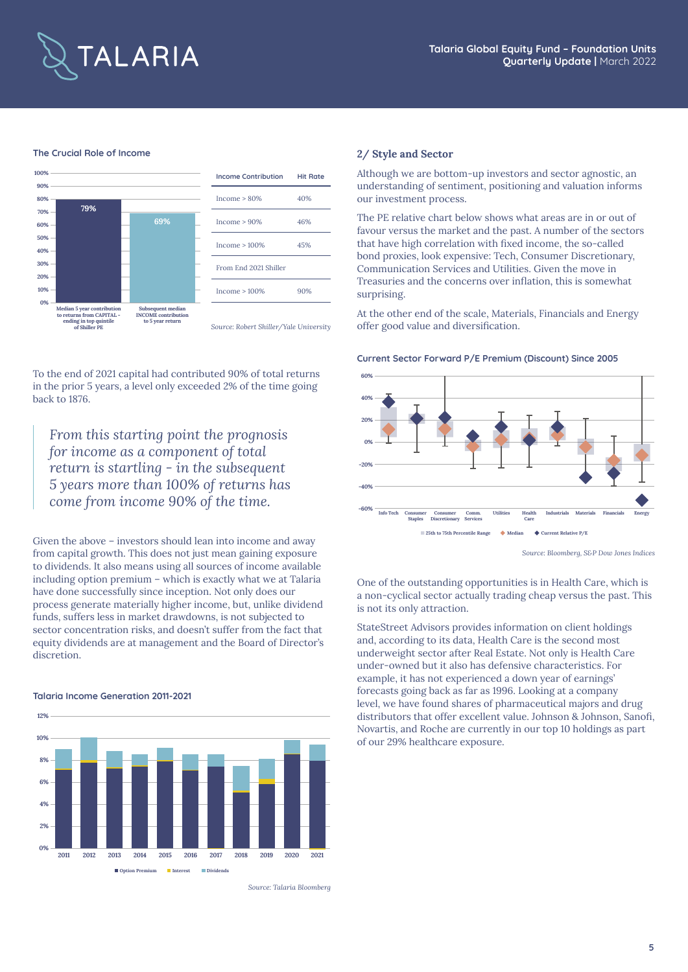

#### **The Crucial Role of Income**



To the end of 2021 capital had contributed 90% of total returns in the prior 5 years, a level only exceeded 2% of the time going back to 1876.

*From this starting point the prognosis for income as a component of total return is startling - in the subsequent 5 years more than 100% of returns has come from income 90% of the time.*

Given the above – investors should lean into income and away from capital growth. This does not just mean gaining exposure to dividends. It also means using all sources of income available including option premium – which is exactly what we at Talaria have done successfully since inception. Not only does our process generate materially higher income, but, unlike dividend funds, suffers less in market drawdowns, is not subjected to sector concentration risks, and doesn't suffer from the fact that equity dividends are at management and the Board of Director's discretion.

#### **Talaria Income Generation 2011-2021**



*Source: Talaria Bloomberg*

#### **2/ Style and Sector**

Although we are bottom-up investors and sector agnostic, an understanding of sentiment, positioning and valuation informs our investment process.

The PE relative chart below shows what areas are in or out of favour versus the market and the past. A number of the sectors that have high correlation with fixed income, the so-called bond proxies, look expensive: Tech, Consumer Discretionary, Communication Services and Utilities. Given the move in Treasuries and the concerns over inflation, this is somewhat surprising.

At the other end of the scale, Materials, Financials and Energy offer good value and diversification.

#### **Current Sector Forward P/E Premium (Discount) Since 2005**



*Source: Bloomberg, S&P Dow Jones Indices*

One of the outstanding opportunities is in Health Care, which is a non-cyclical sector actually trading cheap versus the past. This is not its only attraction.

StateStreet Advisors provides information on client holdings and, according to its data, Health Care is the second most underweight sector after Real Estate. Not only is Health Care under-owned but it also has defensive characteristics. For example, it has not experienced a down year of earnings' forecasts going back as far as 1996. Looking at a company level, we have found shares of pharmaceutical majors and drug distributors that offer excellent value. Johnson & Johnson, Sanofi, Novartis, and Roche are currently in our top 10 holdings as part of our 29% healthcare exposure.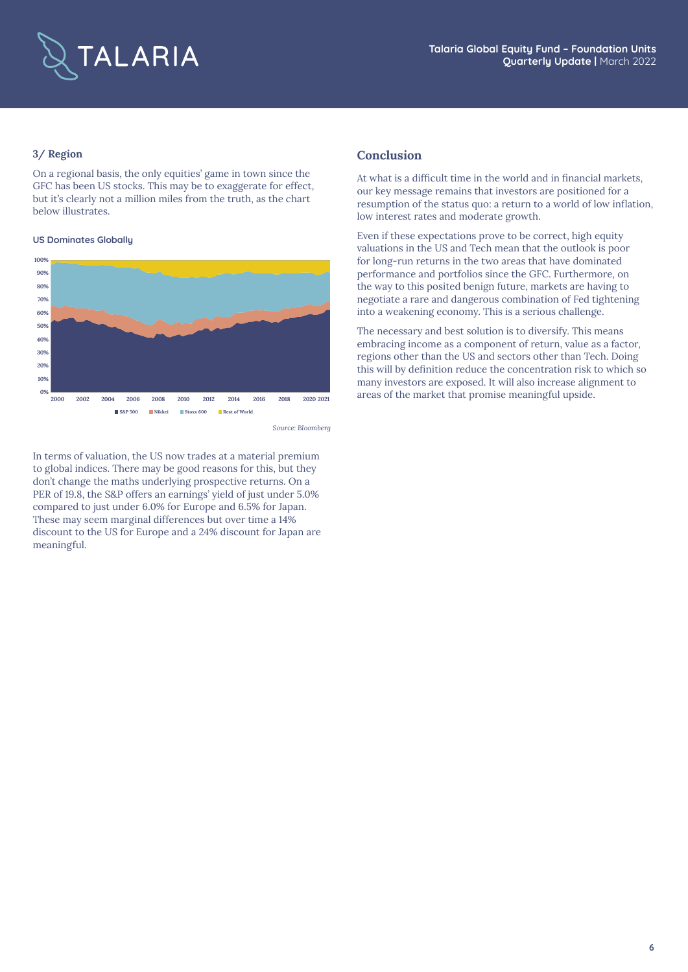

#### **3/ Region**

On a regional basis, the only equities' game in town since the GFC has been US stocks. This may be to exaggerate for effect, but it's clearly not a million miles from the truth, as the chart below illustrates.

#### **US Dominates Globally**



*Source: Bloomberg*

In terms of valuation, the US now trades at a material premium to global indices. There may be good reasons for this, but they don't change the maths underlying prospective returns. On a PER of 19.8, the S&P offers an earnings' yield of just under 5.0% compared to just under 6.0% for Europe and 6.5% for Japan. These may seem marginal differences but over time a 14% discount to the US for Europe and a 24% discount for Japan are meaningful.

#### **Conclusion**

At what is a difficult time in the world and in financial markets, our key message remains that investors are positioned for a resumption of the status quo: a return to a world of low inflation, low interest rates and moderate growth.

Even if these expectations prove to be correct, high equity valuations in the US and Tech mean that the outlook is poor for long-run returns in the two areas that have dominated performance and portfolios since the GFC. Furthermore, on the way to this posited benign future, markets are having to negotiate a rare and dangerous combination of Fed tightening into a weakening economy. This is a serious challenge.

The necessary and best solution is to diversify. This means embracing income as a component of return, value as a factor, regions other than the US and sectors other than Tech. Doing this will by definition reduce the concentration risk to which so many investors are exposed. It will also increase alignment to areas of the market that promise meaningful upside.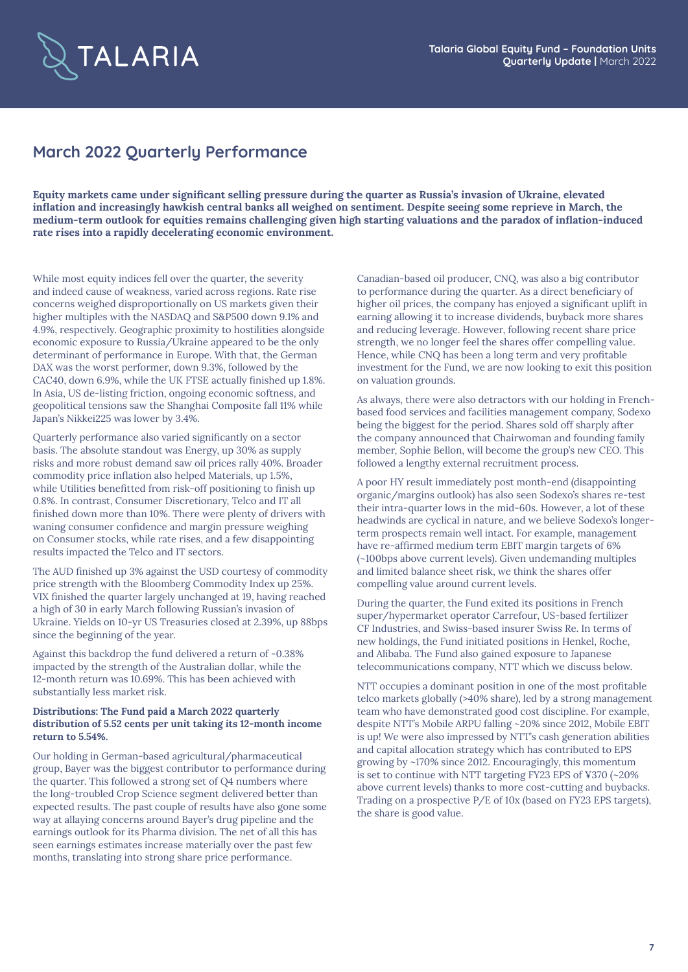

## **March 2022 Quarterly Performance**

**Equity markets came under significant selling pressure during the quarter as Russia's invasion of Ukraine, elevated inflation and increasingly hawkish central banks all weighed on sentiment. Despite seeing some reprieve in March, the medium-term outlook for equities remains challenging given high starting valuations and the paradox of inflation-induced rate rises into a rapidly decelerating economic environment.** 

While most equity indices fell over the quarter, the severity and indeed cause of weakness, varied across regions. Rate rise concerns weighed disproportionally on US markets given their higher multiples with the NASDAQ and S&P500 down 9.1% and 4.9%, respectively. Geographic proximity to hostilities alongside economic exposure to Russia/Ukraine appeared to be the only determinant of performance in Europe. With that, the German DAX was the worst performer, down 9.3%, followed by the CAC40, down 6.9%, while the UK FTSE actually finished up 1.8%. In Asia, US de-listing friction, ongoing economic softness, and geopolitical tensions saw the Shanghai Composite fall 11% while Japan's Nikkei225 was lower by 3.4%.

Quarterly performance also varied significantly on a sector basis. The absolute standout was Energy, up 30% as supply risks and more robust demand saw oil prices rally 40%. Broader commodity price inflation also helped Materials, up 1.5%, while Utilities benefitted from risk-off positioning to finish up 0.8%. In contrast, Consumer Discretionary, Telco and IT all finished down more than 10%. There were plenty of drivers with waning consumer confidence and margin pressure weighing on Consumer stocks, while rate rises, and a few disappointing results impacted the Telco and IT sectors.

The AUD finished up 3% against the USD courtesy of commodity price strength with the Bloomberg Commodity Index up 25%. VIX finished the quarter largely unchanged at 19, having reached a high of 30 in early March following Russian's invasion of Ukraine. Yields on 10-yr US Treasuries closed at 2.39%, up 88bps since the beginning of the year.

Against this backdrop the fund delivered a return of -0.38% impacted by the strength of the Australian dollar, while the 12-month return was 10.69%. This has been achieved with substantially less market risk.

#### **Distributions: The Fund paid a March 2022 quarterly distribution of 5.52 cents per unit taking its 12-month income return to 5.54%.**

Our holding in German-based agricultural/pharmaceutical group, Bayer was the biggest contributor to performance during the quarter. This followed a strong set of Q4 numbers where the long-troubled Crop Science segment delivered better than expected results. The past couple of results have also gone some way at allaying concerns around Bayer's drug pipeline and the earnings outlook for its Pharma division. The net of all this has seen earnings estimates increase materially over the past few months, translating into strong share price performance.

Canadian-based oil producer, CNQ, was also a big contributor to performance during the quarter. As a direct beneficiary of higher oil prices, the company has enjoyed a significant uplift in earning allowing it to increase dividends, buyback more shares and reducing leverage. However, following recent share price strength, we no longer feel the shares offer compelling value. Hence, while CNQ has been a long term and very profitable investment for the Fund, we are now looking to exit this position on valuation grounds.

As always, there were also detractors with our holding in Frenchbased food services and facilities management company, Sodexo being the biggest for the period. Shares sold off sharply after the company announced that Chairwoman and founding family member, Sophie Bellon, will become the group's new CEO. This followed a lengthy external recruitment process.

A poor HY result immediately post month-end (disappointing organic/margins outlook) has also seen Sodexo's shares re-test their intra-quarter lows in the mid-60s. However, a lot of these headwinds are cyclical in nature, and we believe Sodexo's longerterm prospects remain well intact. For example, management have re-affirmed medium term EBIT margin targets of 6% (~100bps above current levels). Given undemanding multiples and limited balance sheet risk, we think the shares offer compelling value around current levels.

During the quarter, the Fund exited its positions in French super/hypermarket operator Carrefour, US-based fertilizer CF Industries, and Swiss-based insurer Swiss Re. In terms of new holdings, the Fund initiated positions in Henkel, Roche, and Alibaba. The Fund also gained exposure to Japanese telecommunications company, NTT which we discuss below.

NTT occupies a dominant position in one of the most profitable telco markets globally (>40% share), led by a strong management team who have demonstrated good cost discipline. For example, despite NTT's Mobile ARPU falling ~20% since 2012, Mobile EBIT is up! We were also impressed by NTT's cash generation abilities and capital allocation strategy which has contributed to EPS growing by ~170% since 2012. Encouragingly, this momentum is set to continue with NTT targeting FY23 EPS of ¥370 (~20% above current levels) thanks to more cost-cutting and buybacks. Trading on a prospective P/E of 10x (based on FY23 EPS targets), the share is good value.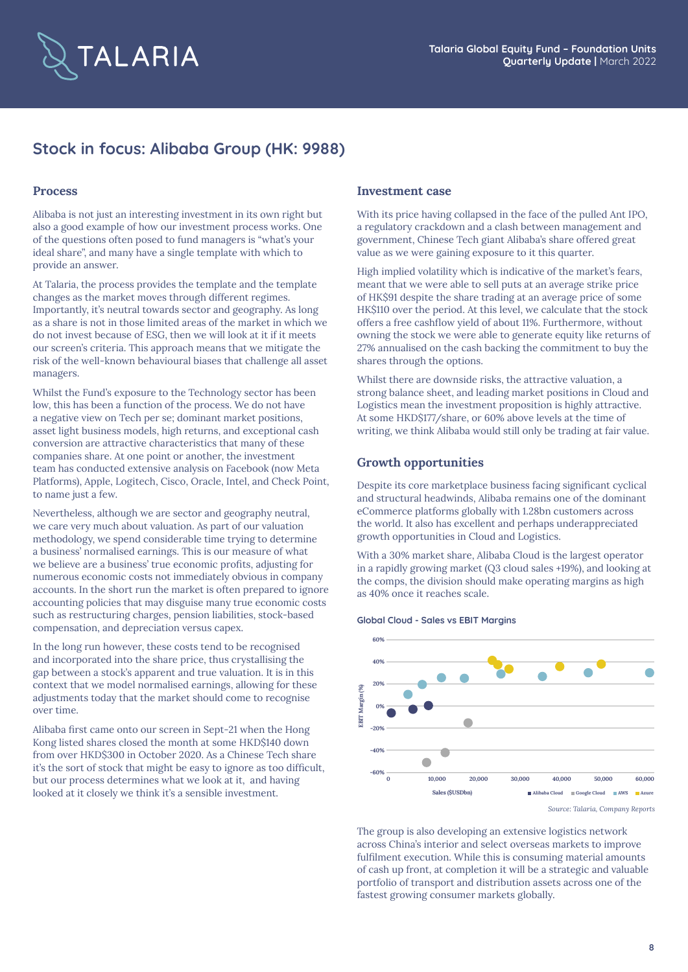

## **Stock in focus: Alibaba Group (HK: 9988)**

#### **Process**

Alibaba is not just an interesting investment in its own right but also a good example of how our investment process works. One of the questions often posed to fund managers is "what's your ideal share", and many have a single template with which to provide an answer.

At Talaria, the process provides the template and the template changes as the market moves through different regimes. Importantly, it's neutral towards sector and geography. As long as a share is not in those limited areas of the market in which we do not invest because of ESG, then we will look at it if it meets our screen's criteria. This approach means that we mitigate the risk of the well-known behavioural biases that challenge all asset managers.

Whilst the Fund's exposure to the Technology sector has been low, this has been a function of the process. We do not have a negative view on Tech per se; dominant market positions, asset light business models, high returns, and exceptional cash conversion are attractive characteristics that many of these companies share. At one point or another, the investment team has conducted extensive analysis on Facebook (now Meta Platforms), Apple, Logitech, Cisco, Oracle, Intel, and Check Point, to name just a few.

Nevertheless, although we are sector and geography neutral, we care very much about valuation. As part of our valuation methodology, we spend considerable time trying to determine a business' normalised earnings. This is our measure of what we believe are a business' true economic profits, adjusting for numerous economic costs not immediately obvious in company accounts. In the short run the market is often prepared to ignore accounting policies that may disguise many true economic costs such as restructuring charges, pension liabilities, stock-based compensation, and depreciation versus capex.

In the long run however, these costs tend to be recognised and incorporated into the share price, thus crystallising the gap between a stock's apparent and true valuation. It is in this context that we model normalised earnings, allowing for these adjustments today that the market should come to recognise over time.

Alibaba first came onto our screen in Sept-21 when the Hong Kong listed shares closed the month at some HKD\$140 down from over HKD\$300 in October 2020. As a Chinese Tech share it's the sort of stock that might be easy to ignore as too difficult, but our process determines what we look at it, and having looked at it closely we think it's a sensible investment.

#### **Investment case**

With its price having collapsed in the face of the pulled Ant IPO, a regulatory crackdown and a clash between management and government, Chinese Tech giant Alibaba's share offered great value as we were gaining exposure to it this quarter.

High implied volatility which is indicative of the market's fears, meant that we were able to sell puts at an average strike price of HK\$91 despite the share trading at an average price of some HK\$110 over the period. At this level, we calculate that the stock offers a free cashflow yield of about 11%. Furthermore, without owning the stock we were able to generate equity like returns of 27% annualised on the cash backing the commitment to buy the shares through the options.

Whilst there are downside risks, the attractive valuation, a strong balance sheet, and leading market positions in Cloud and Logistics mean the investment proposition is highly attractive. At some HKD\$177/share, or 60% above levels at the time of writing, we think Alibaba would still only be trading at fair value.

#### **Growth opportunities**

Despite its core marketplace business facing significant cyclical and structural headwinds, Alibaba remains one of the dominant eCommerce platforms globally with 1.28bn customers across the world. It also has excellent and perhaps underappreciated growth opportunities in Cloud and Logistics.

With a 30% market share, Alibaba Cloud is the largest operator in a rapidly growing market (Q3 cloud sales +19%), and looking at the comps, the division should make operating margins as high as 40% once it reaches scale.

#### **Global Cloud - Sales vs EBIT Margins**



*Source: Talaria, Company Reports*

The group is also developing an extensive logistics network across China's interior and select overseas markets to improve fulfilment execution. While this is consuming material amounts of cash up front, at completion it will be a strategic and valuable portfolio of transport and distribution assets across one of the fastest growing consumer markets globally.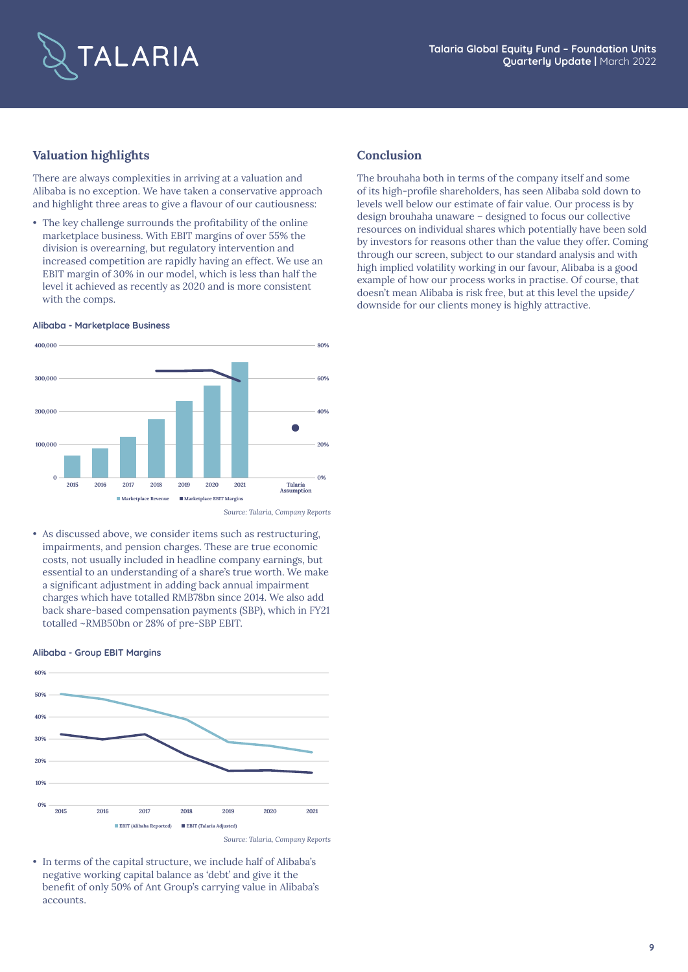

### **Valuation highlights**

There are always complexities in arriving at a valuation and Alibaba is no exception. We have taken a conservative approach and highlight three areas to give a flavour of our cautiousness:

• The key challenge surrounds the profitability of the online marketplace business. With EBIT margins of over 55% the division is overearning, but regulatory intervention and increased competition are rapidly having an effect. We use an EBIT margin of 30% in our model, which is less than half the level it achieved as recently as 2020 and is more consistent with the comps.

#### **Alibaba - Marketplace Business**



*Source: Talaria, Company Reports*

• As discussed above, we consider items such as restructuring, impairments, and pension charges. These are true economic costs, not usually included in headline company earnings, but essential to an understanding of a share's true worth. We make a significant adjustment in adding back annual impairment charges which have totalled RMB78bn since 2014. We also add back share-based compensation payments (SBP), which in FY21 totalled ~RMB50bn or 28% of pre-SBP EBIT.

#### **Alibaba - Group EBIT Margins**



*Source: Talaria, Company Reports*

• In terms of the capital structure, we include half of Alibaba's negative working capital balance as 'debt' and give it the benefit of only 50% of Ant Group's carrying value in Alibaba's accounts.

#### **Conclusion**

The brouhaha both in terms of the company itself and some of its high-profile shareholders, has seen Alibaba sold down to levels well below our estimate of fair value. Our process is by design brouhaha unaware – designed to focus our collective resources on individual shares which potentially have been sold by investors for reasons other than the value they offer. Coming through our screen, subject to our standard analysis and with high implied volatility working in our favour, Alibaba is a good example of how our process works in practise. Of course, that doesn't mean Alibaba is risk free, but at this level the upside/ downside for our clients money is highly attractive.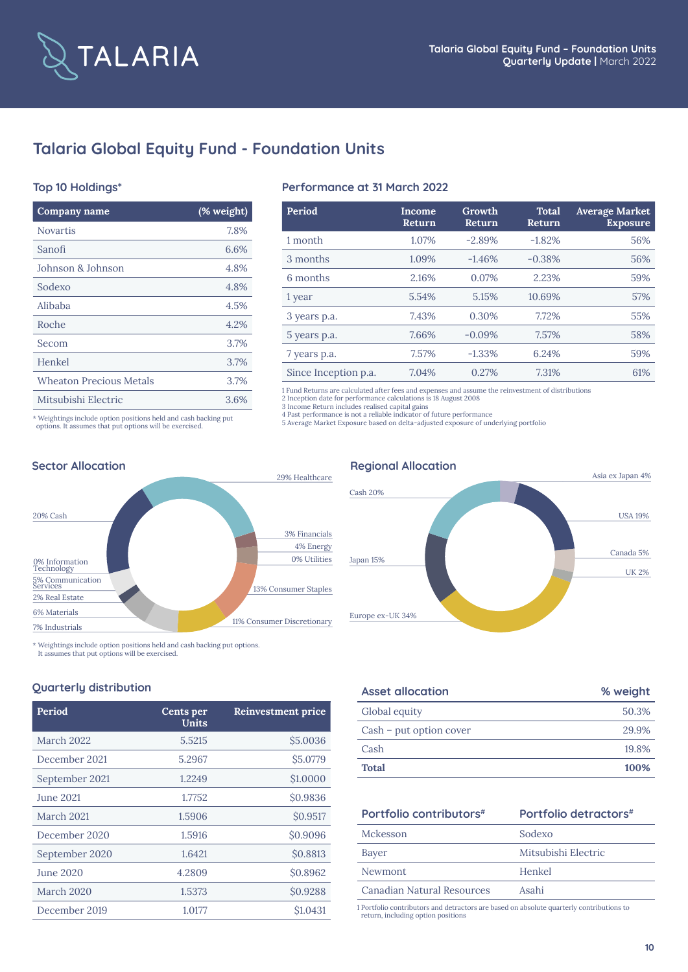

## **Talaria Global Equity Fund - Foundation Units**

#### **Top 10 Holdings\***

| Company name                                                    | (% weight) |
|-----------------------------------------------------------------|------------|
| <b>Novartis</b>                                                 | 7.8%       |
| Sanofi                                                          | 6.6%       |
| Johnson & Johnson                                               | 4.8%       |
| Sodexo                                                          | 4.8%       |
| Alibaba                                                         | 4.5%       |
| Roche                                                           | 4.2%       |
| Secom                                                           | 3.7%       |
| Henkel                                                          | 3.7%       |
| Wheaton Precious Metals                                         | 3.7%       |
| Mitsubishi Electric                                             | 3.6%       |
| * Weightings include option positions held and cash backing put |            |

#### **Performance at 31 March 2022**

| Period               | Income<br>Return | Growth<br>Return | <b>Total</b><br>Return | <b>Average Market</b><br><b>Exposure</b> |
|----------------------|------------------|------------------|------------------------|------------------------------------------|
| 1 month              | 1.07%            | $-2.89%$         | $-1.82%$               | 56%                                      |
| 3 months             | 1.09%            | $-1.46%$         | $-0.38%$               | 56%                                      |
| 6 months             | 2.16%            | 0.07%            | 2.23%                  | 59%                                      |
| 1 year               | 5.54%            | 5.15%            | 10.69%                 | 57%                                      |
| 3 years p.a.         | 7.43%            | 0.30%            | 7.72%                  | 55%                                      |
| 5 years p.a.         | 7.66%            | $-0.09%$         | 7.57%                  | 58%                                      |
| 7 years p.a.         | 7.57%            | $-1.33%$         | 6.24%                  | 59%                                      |
| Since Inception p.a. | 7.04%            | 0.27%            | 7.31%                  | 61%                                      |

1 Fund Returns are calculated after fees and expenses and assume the reinvestment of distributions 2 Inception date for performance calculations is 18 August 2008

3 Income Return includes realised capital gains<br>4 Past performance is not a reliable indicator of future performance<br>5 Average Market Exposure based on delta-adjusted exposure of underlying portfolio

options. It assumes that put options will be exercised.



\* Weightings include option positions held and cash backing put options.

It assumes that put options will be exercised.

#### **Quarterly distribution**

| Period           | Cents per<br>Units | Reinvestment price |
|------------------|--------------------|--------------------|
| March 2022       | 5.5215             | \$5.0036           |
| December 2021    | 5.2967             | \$5.0779           |
| September 2021   | 1.2249             | \$1.0000           |
| <b>June 2021</b> | 1.7752             | \$0.9836           |
| March 2021       | 1.5906             | \$0.9517           |
| December 2020    | 1.5916             | \$0.9096           |
| September 2020   | 1.6421             | \$0.8813           |
| June 2020        | 4.2809             | \$0.8962           |
| March 2020       | 1.5373             | \$0.9288           |
| December 2019    | 1.0177             | \$1.0431           |

# Japan 15% Cash 20% Asia ex Japan 4%

Europe ex-UK 34%

| <b>Asset allocation</b> | % weight |
|-------------------------|----------|
| Global equity           | 50.3%    |
| Cash – put option cover | 29.9%    |
| Cash                    | 19.8%    |
| <b>Total</b>            | 100%     |
|                         |          |

### **Portfolio contributors# Portfolio Portfolio Property**

| Mckesson                   | Sodexo              |
|----------------------------|---------------------|
| Bayer                      | Mitsubishi Electric |
| Newmont                    | Henkel              |
| Canadian Natural Resources | Asahi               |

1 Portfolio contributors and detractors are based on absolute quarterly contributions to return, including option positions



USA 19%

UK 2% Canada 5%